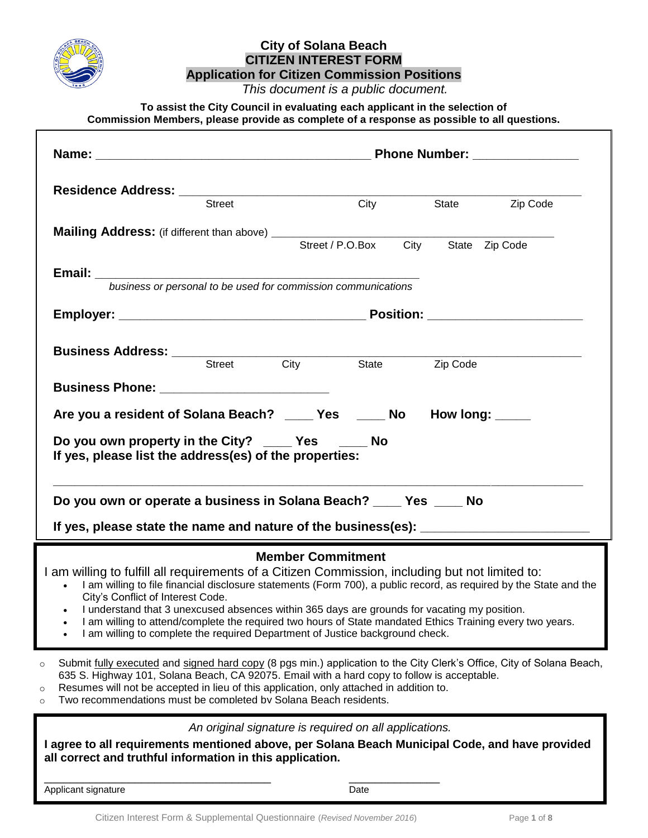

# **City of Solana Beach CITIZEN INTEREST FORM**

**Application for Citizen Commission Positions**

 *This document is a public document.*

**To assist the City Council in evaluating each applicant in the selection of Commission Members, please provide as complete of a response as possible to all questions.**

| Residence Address: Street City State                                                                                                                                                                                                                                                                                                                                                                                                                                                                                                                                                   |                                                        |  | State <b>Zip Code</b> |  |
|----------------------------------------------------------------------------------------------------------------------------------------------------------------------------------------------------------------------------------------------------------------------------------------------------------------------------------------------------------------------------------------------------------------------------------------------------------------------------------------------------------------------------------------------------------------------------------------|--------------------------------------------------------|--|-----------------------|--|
|                                                                                                                                                                                                                                                                                                                                                                                                                                                                                                                                                                                        |                                                        |  |                       |  |
|                                                                                                                                                                                                                                                                                                                                                                                                                                                                                                                                                                                        |                                                        |  |                       |  |
| <b>Email:</b><br>business or personal to be used for commission communications                                                                                                                                                                                                                                                                                                                                                                                                                                                                                                         |                                                        |  |                       |  |
|                                                                                                                                                                                                                                                                                                                                                                                                                                                                                                                                                                                        |                                                        |  |                       |  |
| <b>Business Address:</b><br>Street City State Zip Code                                                                                                                                                                                                                                                                                                                                                                                                                                                                                                                                 |                                                        |  |                       |  |
|                                                                                                                                                                                                                                                                                                                                                                                                                                                                                                                                                                                        |                                                        |  |                       |  |
| Are you a resident of Solana Beach? _____ Yes _____ No How long: _____                                                                                                                                                                                                                                                                                                                                                                                                                                                                                                                 |                                                        |  |                       |  |
| Do you own property in the City? ____ Yes ____ No<br>If yes, please list the address(es) of the properties:                                                                                                                                                                                                                                                                                                                                                                                                                                                                            |                                                        |  |                       |  |
| Do you own or operate a business in Solana Beach? _____ Yes _____ No                                                                                                                                                                                                                                                                                                                                                                                                                                                                                                                   |                                                        |  |                       |  |
| If yes, please state the name and nature of the business(es): ___________________                                                                                                                                                                                                                                                                                                                                                                                                                                                                                                      |                                                        |  |                       |  |
| <b>Member Commitment</b><br>I am willing to fulfill all requirements of a Citizen Commission, including but not limited to:<br>I am willing to file financial disclosure statements (Form 700), a public record, as required by the State and the<br>City's Conflict of Interest Code.<br>• I understand that 3 unexcused absences within 365 days are grounds for vacating my position.<br>I am willing to attend/complete the required two hours of State mandated Ethics Training every two years.<br>I am willing to complete the required Department of Justice background check. |                                                        |  |                       |  |
| Submit fully executed and signed hard copy (8 pgs min.) application to the City Clerk's Office, City of Solana Beach,<br>635 S. Highway 101, Solana Beach, CA 92075. Email with a hard copy to follow is acceptable.<br>Resumes will not be accepted in lieu of this application, only attached in addition to.<br>O<br>Two recommendations must be completed by Solana Beach residents.                                                                                                                                                                                               |                                                        |  |                       |  |
| I agree to all requirements mentioned above, per Solana Beach Municipal Code, and have provided<br>all correct and truthful information in this application.                                                                                                                                                                                                                                                                                                                                                                                                                           | An original signature is required on all applications. |  |                       |  |

Applicant signature Date

\_\_\_\_\_\_\_\_\_\_\_\_\_\_\_\_\_\_\_\_\_\_\_\_\_\_\_\_\_\_\_\_\_\_\_ \_\_\_\_\_\_\_\_\_\_\_\_\_\_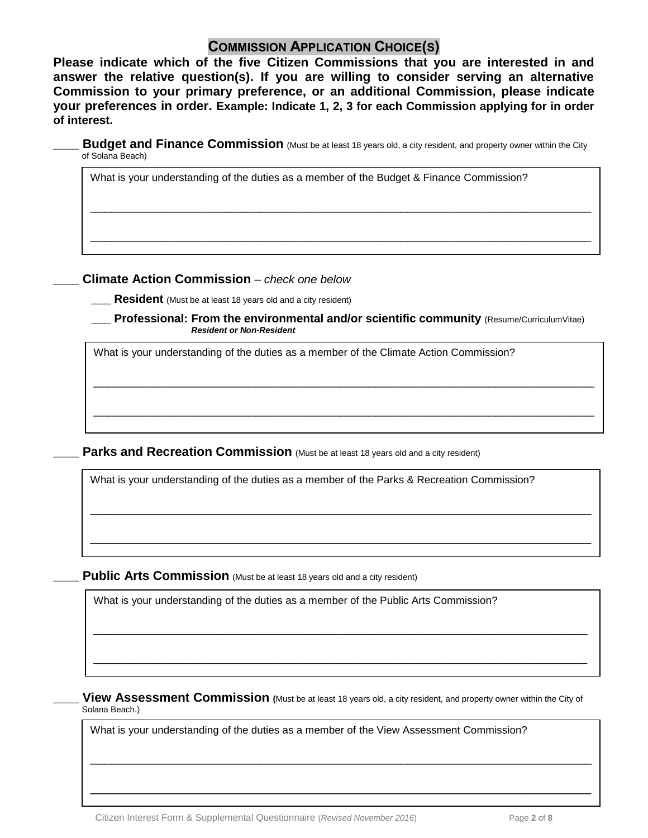## **COMMISSION APPLICATION CHOICE(S)**

**Please indicate which of the five Citizen Commissions that you are interested in and answer the relative question(s). If you are willing to consider serving an alternative Commission to your primary preference, or an additional Commission, please indicate your preferences in order. Example: Indicate 1, 2, 3 for each Commission applying for in order of interest.** 

**Budget and Finance Commission** (Must be at least 18 years old, a city resident, and property owner within the City of Solana Beach)

\_\_\_\_\_\_\_\_\_\_\_\_\_\_\_\_\_\_\_\_\_\_\_\_\_\_\_\_\_\_\_\_\_\_\_\_\_\_\_\_\_\_\_\_\_\_\_\_\_\_\_\_\_\_\_\_\_\_\_\_\_\_\_\_\_\_\_\_\_\_\_

\_\_\_\_\_\_\_\_\_\_\_\_\_\_\_\_\_\_\_\_\_\_\_\_\_\_\_\_\_\_\_\_\_\_\_\_\_\_\_\_\_\_\_\_\_\_\_\_\_\_\_\_\_\_\_\_\_\_\_\_\_\_\_\_\_\_\_\_\_\_\_

What is your understanding of the duties as a member of the Budget & Finance Commission?

#### **\_\_\_\_ Climate Action Commission** *– check one below*

**Resident** (Must be at least 18 years old and a city resident)

**Professional: From the environmental and/or scientific community** (Resume/CurriculumVitae) *Resident or Non-Resident*

\_\_\_\_\_\_\_\_\_\_\_\_\_\_\_\_\_\_\_\_\_\_\_\_\_\_\_\_\_\_\_\_\_\_\_\_\_\_\_\_\_\_\_\_\_\_\_\_\_\_\_\_\_\_\_\_\_\_\_\_\_\_\_\_\_\_\_\_\_\_\_

\_\_\_\_\_\_\_\_\_\_\_\_\_\_\_\_\_\_\_\_\_\_\_\_\_\_\_\_\_\_\_\_\_\_\_\_\_\_\_\_\_\_\_\_\_\_\_\_\_\_\_\_\_\_\_\_\_\_\_\_\_\_\_\_\_\_\_\_\_\_\_

\_\_\_\_\_\_\_\_\_\_\_\_\_\_\_\_\_\_\_\_\_\_\_\_\_\_\_\_\_\_\_\_\_\_\_\_\_\_\_\_\_\_\_\_\_\_\_\_\_\_\_\_\_\_\_\_\_\_\_\_\_\_\_\_\_\_\_\_\_\_\_

\_\_\_\_\_\_\_\_\_\_\_\_\_\_\_\_\_\_\_\_\_\_\_\_\_\_\_\_\_\_\_\_\_\_\_\_\_\_\_\_\_\_\_\_\_\_\_\_\_\_\_\_\_\_\_\_\_\_\_\_\_\_\_\_\_\_\_\_\_\_\_

\_\_\_\_\_\_\_\_\_\_\_\_\_\_\_\_\_\_\_\_\_\_\_\_\_\_\_\_\_\_\_\_\_\_\_\_\_\_\_\_\_\_\_\_\_\_\_\_\_\_\_\_\_\_\_\_\_\_\_\_\_\_\_\_\_\_\_\_\_\_

\_\_\_\_\_\_\_\_\_\_\_\_\_\_\_\_\_\_\_\_\_\_\_\_\_\_\_\_\_\_\_\_\_\_\_\_\_\_\_\_\_\_\_\_\_\_\_\_\_\_\_\_\_\_\_\_\_\_\_\_\_\_\_\_\_\_\_\_\_\_

What is your understanding of the duties as a member of the Climate Action Commission?

**Parks and Recreation Commission** (Must be at least 18 years old and a city resident)

What is your understanding of the duties as a member of the Parks & Recreation Commission?

**Public Arts Commission** (Must be at least 18 years old and a city resident)

\_

What is your understanding of the duties as a member of the Public Arts Commission?

**\_\_\_\_ View Assessment Commission (**Must be at least 18 years old, a city resident, and property owner within the City of Solana Beach.)

\_\_\_\_\_\_\_\_\_\_\_\_\_\_\_\_\_\_\_\_\_\_\_\_\_\_\_\_\_\_\_\_\_\_\_\_\_\_\_\_\_\_\_\_\_\_\_\_\_\_\_\_\_\_\_\_\_\_\_\_\_\_\_\_\_\_\_\_\_\_\_

\_\_\_\_\_\_\_\_\_\_\_\_\_\_\_\_\_\_\_\_\_\_\_\_\_\_\_\_\_\_\_\_\_\_\_\_\_\_\_\_\_\_\_\_\_\_\_\_\_\_\_\_\_\_\_\_\_\_\_\_\_\_\_\_\_\_\_\_\_\_\_

What is your understanding of the duties as a member of the View Assessment Commission?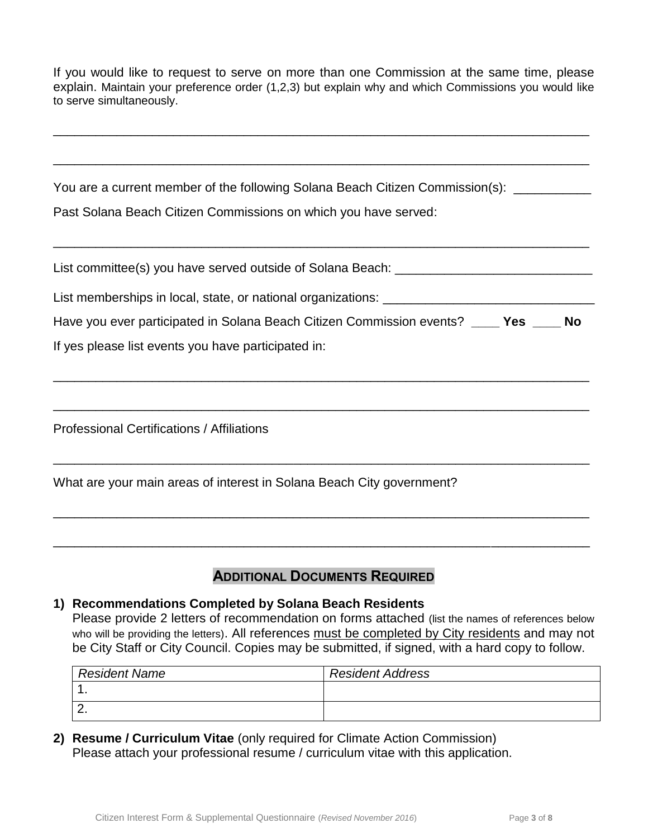If you would like to request to serve on more than one Commission at the same time, please explain. Maintain your preference order (1,2,3) but explain why and which Commissions you would like to serve simultaneously.

\_\_\_\_\_\_\_\_\_\_\_\_\_\_\_\_\_\_\_\_\_\_\_\_\_\_\_\_\_\_\_\_\_\_\_\_\_\_\_\_\_\_\_\_\_\_\_\_\_\_\_\_\_\_\_\_\_\_\_\_\_\_\_\_\_\_\_\_\_\_\_\_\_\_\_\_

\_\_\_\_\_\_\_\_\_\_\_\_\_\_\_\_\_\_\_\_\_\_\_\_\_\_\_\_\_\_\_\_\_\_\_\_\_\_\_\_\_\_\_\_\_\_\_\_\_\_\_\_\_\_\_\_\_\_\_\_\_\_\_\_\_\_\_\_\_\_\_\_\_\_\_\_

You are a current member of the following Solana Beach Citizen Commission(s): \_\_\_\_\_\_\_\_\_

Past Solana Beach Citizen Commissions on which you have served:

| List committee(s) you have served outside of Solana Beach:   |  |
|--------------------------------------------------------------|--|
| List memberships in local, state, or national organizations: |  |

\_\_\_\_\_\_\_\_\_\_\_\_\_\_\_\_\_\_\_\_\_\_\_\_\_\_\_\_\_\_\_\_\_\_\_\_\_\_\_\_\_\_\_\_\_\_\_\_\_\_\_\_\_\_\_\_\_\_\_\_\_\_\_\_\_\_\_\_\_\_\_\_\_\_\_\_

|  |  |  | Have you ever participated in Solana Beach Citizen Commission events? | Yes | <b>No</b> |
|--|--|--|-----------------------------------------------------------------------|-----|-----------|
|  |  |  |                                                                       |     |           |

\_\_\_\_\_\_\_\_\_\_\_\_\_\_\_\_\_\_\_\_\_\_\_\_\_\_\_\_\_\_\_\_\_\_\_\_\_\_\_\_\_\_\_\_\_\_\_\_\_\_\_\_\_\_\_\_\_\_\_\_\_\_\_\_\_\_\_\_\_\_\_\_\_\_\_\_

\_\_\_\_\_\_\_\_\_\_\_\_\_\_\_\_\_\_\_\_\_\_\_\_\_\_\_\_\_\_\_\_\_\_\_\_\_\_\_\_\_\_\_\_\_\_\_\_\_\_\_\_\_\_\_\_\_\_\_\_\_\_\_\_\_\_\_\_\_\_\_\_\_\_\_\_

\_\_\_\_\_\_\_\_\_\_\_\_\_\_\_\_\_\_\_\_\_\_\_\_\_\_\_\_\_\_\_\_\_\_\_\_\_\_\_\_\_\_\_\_\_\_\_\_\_\_\_\_\_\_\_\_\_\_\_\_\_\_\_\_\_\_\_\_\_\_\_\_\_\_\_\_

\_\_\_\_\_\_\_\_\_\_\_\_\_\_\_\_\_\_\_\_\_\_\_\_\_\_\_\_\_\_\_\_\_\_\_\_\_\_\_\_\_\_\_\_\_\_\_\_\_\_\_\_\_\_\_\_\_\_\_\_\_\_\_\_\_\_\_\_\_\_\_\_\_\_\_\_

\_\_\_\_\_\_\_\_\_\_\_\_\_\_\_\_\_\_\_\_\_\_\_\_\_\_\_\_\_\_\_\_\_\_\_\_\_\_\_\_\_\_\_\_\_\_\_\_\_\_\_\_\_\_\_\_\_\_\_\_\_\_\_\_\_\_\_\_\_\_\_\_\_\_\_\_

If yes please list events you have participated in:

Professional Certifications / Affiliations

| What are your main areas of interest in Solana Beach City government? |  |
|-----------------------------------------------------------------------|--|
|-----------------------------------------------------------------------|--|

## **ADDITIONAL DOCUMENTS REQUIRED**

### **1) Recommendations Completed by Solana Beach Residents**

Please provide 2 letters of recommendation on forms attached (list the names of references below who will be providing the letters). All references must be completed by City residents and may not be City Staff or City Council. Copies may be submitted, if signed, with a hard copy to follow.

| <b>Resident Name</b> | <b>Resident Address</b> |
|----------------------|-------------------------|
|                      |                         |
| <u>.</u>             |                         |

**2) Resume / Curriculum Vitae** (only required for Climate Action Commission) Please attach your professional resume / curriculum vitae with this application.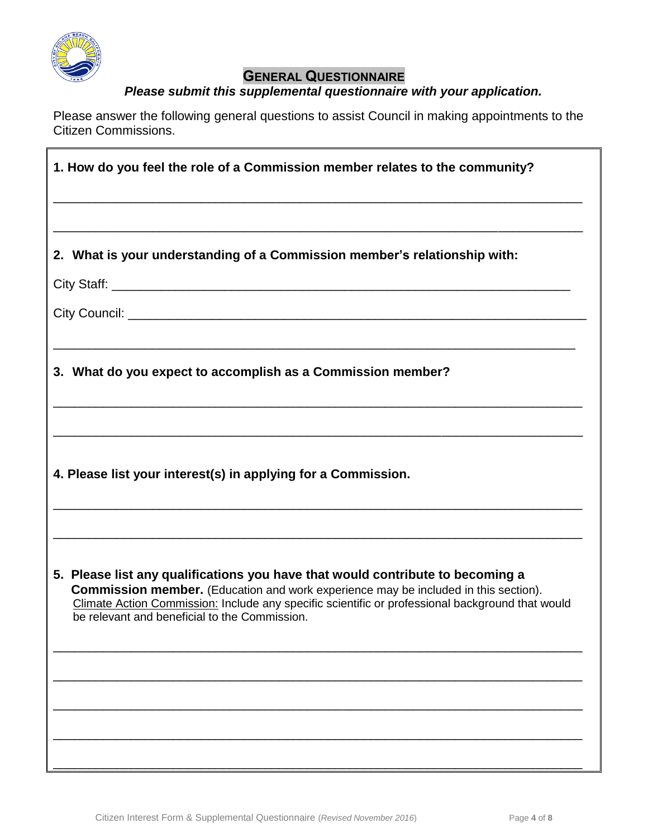

# **GENERAL QUESTIONNAIRE**

## *Please submit this supplemental questionnaire with your application.*

Please answer the following general questions to assist Council in making appointments to the Citizen Commissions.

| 1. How do you feel the role of a Commission member relates to the community?                                                                                                                                                                                                                                                      |  |  |  |
|-----------------------------------------------------------------------------------------------------------------------------------------------------------------------------------------------------------------------------------------------------------------------------------------------------------------------------------|--|--|--|
|                                                                                                                                                                                                                                                                                                                                   |  |  |  |
| 2. What is your understanding of a Commission member's relationship with:                                                                                                                                                                                                                                                         |  |  |  |
|                                                                                                                                                                                                                                                                                                                                   |  |  |  |
|                                                                                                                                                                                                                                                                                                                                   |  |  |  |
| <u> 1989 - Johann Harry Barn, mars and deutscher Stadt and deutscher Stadt and deutscher Stadt and deutscher Stadt</u><br>3. What do you expect to accomplish as a Commission member?                                                                                                                                             |  |  |  |
|                                                                                                                                                                                                                                                                                                                                   |  |  |  |
| 4. Please list your interest(s) in applying for a Commission.                                                                                                                                                                                                                                                                     |  |  |  |
| 5. Please list any qualifications you have that would contribute to becoming a<br><b>Commission member.</b> (Education and work experience may be included in this section).<br>Climate Action Commission: Include any specific scientific or professional background that would<br>be relevant and beneficial to the Commission. |  |  |  |
|                                                                                                                                                                                                                                                                                                                                   |  |  |  |
|                                                                                                                                                                                                                                                                                                                                   |  |  |  |
|                                                                                                                                                                                                                                                                                                                                   |  |  |  |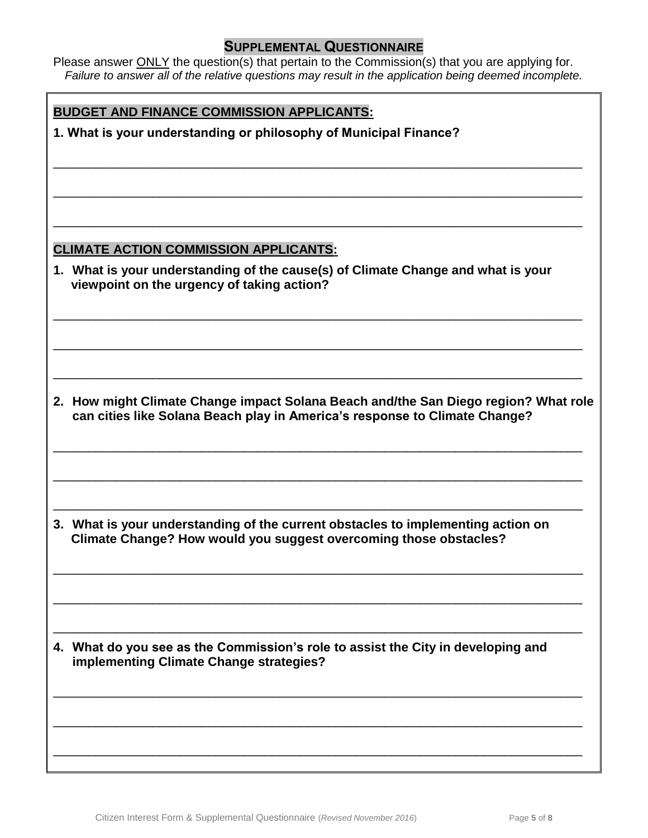### **SUPPLEMENTAL QUESTIONNAIRE**

Please answer **ONLY** the question(s) that pertain to the Commission(s) that you are applying for. *Failure to answer all of the relative questions may result in the application being deemed incomplete.*

\_\_\_\_\_\_\_\_\_\_\_\_\_\_\_\_\_\_\_\_\_\_\_\_\_\_\_\_\_\_\_\_\_\_\_\_\_\_\_\_\_\_\_\_\_\_\_\_\_\_\_\_\_\_\_\_\_\_\_\_\_\_\_\_\_\_\_\_\_\_\_\_\_\_\_

\_\_\_\_\_\_\_\_\_\_\_\_\_\_\_\_\_\_\_\_\_\_\_\_\_\_\_\_\_\_\_\_\_\_\_\_\_\_\_\_\_\_\_\_\_\_\_\_\_\_\_\_\_\_\_\_\_\_\_\_\_\_\_\_\_\_\_\_\_\_\_\_\_\_\_

\_\_\_\_\_\_\_\_\_\_\_\_\_\_\_\_\_\_\_\_\_\_\_\_\_\_\_\_\_\_\_\_\_\_\_\_\_\_\_\_\_\_\_\_\_\_\_\_\_\_\_\_\_\_\_\_\_\_\_\_\_\_\_\_\_\_\_\_\_\_\_\_\_\_\_

\_\_\_\_\_\_\_\_\_\_\_\_\_\_\_\_\_\_\_\_\_\_\_\_\_\_\_\_\_\_\_\_\_\_\_\_\_\_\_\_\_\_\_\_\_\_\_\_\_\_\_\_\_\_\_\_\_\_\_\_\_\_\_\_\_\_\_\_\_\_\_\_\_\_\_

\_\_\_\_\_\_\_\_\_\_\_\_\_\_\_\_\_\_\_\_\_\_\_\_\_\_\_\_\_\_\_\_\_\_\_\_\_\_\_\_\_\_\_\_\_\_\_\_\_\_\_\_\_\_\_\_\_\_\_\_\_\_\_\_\_\_\_\_\_\_\_\_\_\_\_

\_\_\_\_\_\_\_\_\_\_\_\_\_\_\_\_\_\_\_\_\_\_\_\_\_\_\_\_\_\_\_\_\_\_\_\_\_\_\_\_\_\_\_\_\_\_\_\_\_\_\_\_\_\_\_\_\_\_\_\_\_\_\_\_\_\_\_\_\_\_\_\_\_\_\_

### **BUDGET AND FINANCE COMMISSION APPLICANTS:**

**1. What is your understanding or philosophy of Municipal Finance?**

### **CLIMATE ACTION COMMISSION APPLICANTS:**

**1. What is your understanding of the cause(s) of Climate Change and what is your viewpoint on the urgency of taking action?** 

**2. How might Climate Change impact Solana Beach and/the San Diego region? What role can cities like Solana Beach play in America's response to Climate Change?** 

\_\_\_\_\_\_\_\_\_\_\_\_\_\_\_\_\_\_\_\_\_\_\_\_\_\_\_\_\_\_\_\_\_\_\_\_\_\_\_\_\_\_\_\_\_\_\_\_\_\_\_\_\_\_\_\_\_\_\_\_\_\_\_\_\_\_\_\_\_\_\_\_\_\_\_

\_\_\_\_\_\_\_\_\_\_\_\_\_\_\_\_\_\_\_\_\_\_\_\_\_\_\_\_\_\_\_\_\_\_\_\_\_\_\_\_\_\_\_\_\_\_\_\_\_\_\_\_\_\_\_\_\_\_\_\_\_\_\_\_\_\_\_\_\_\_\_\_\_\_\_

\_\_\_\_\_\_\_\_\_\_\_\_\_\_\_\_\_\_\_\_\_\_\_\_\_\_\_\_\_\_\_\_\_\_\_\_\_\_\_\_\_\_\_\_\_\_\_\_\_\_\_\_\_\_\_\_\_\_\_\_\_\_\_\_\_\_\_\_\_\_\_\_\_\_\_

\_\_\_\_\_\_\_\_\_\_\_\_\_\_\_\_\_\_\_\_\_\_\_\_\_\_\_\_\_\_\_\_\_\_\_\_\_\_\_\_\_\_\_\_\_\_\_\_\_\_\_\_\_\_\_\_\_\_\_\_\_\_\_\_\_\_\_\_\_\_\_\_\_\_\_

\_\_\_\_\_\_\_\_\_\_\_\_\_\_\_\_\_\_\_\_\_\_\_\_\_\_\_\_\_\_\_\_\_\_\_\_\_\_\_\_\_\_\_\_\_\_\_\_\_\_\_\_\_\_\_\_\_\_\_\_\_\_\_\_\_\_\_\_\_\_\_\_\_\_\_

\_\_\_\_\_\_\_\_\_\_\_\_\_\_\_\_\_\_\_\_\_\_\_\_\_\_\_\_\_\_\_\_\_\_\_\_\_\_\_\_\_\_\_\_\_\_\_\_\_\_\_\_\_\_\_\_\_\_\_\_\_\_\_\_\_\_\_\_\_\_\_\_\_\_\_

\_\_\_\_\_\_\_\_\_\_\_\_\_\_\_\_\_\_\_\_\_\_\_\_\_\_\_\_\_\_\_\_\_\_\_\_\_\_\_\_\_\_\_\_\_\_\_\_\_\_\_\_\_\_\_\_\_\_\_\_\_\_\_\_\_\_\_\_\_\_\_\_\_\_\_

\_\_\_\_\_\_\_\_\_\_\_\_\_\_\_\_\_\_\_\_\_\_\_\_\_\_\_\_\_\_\_\_\_\_\_\_\_\_\_\_\_\_\_\_\_\_\_\_\_\_\_\_\_\_\_\_\_\_\_\_\_\_\_\_\_\_\_\_\_\_\_\_\_\_\_

\_\_\_\_\_\_\_\_\_\_\_\_\_\_\_\_\_\_\_\_\_\_\_\_\_\_\_\_\_\_\_\_\_\_\_\_\_\_\_\_\_\_\_\_\_\_\_\_\_\_\_\_\_\_\_\_\_\_\_\_\_\_\_\_\_\_\_\_\_\_\_\_\_\_\_

**3. What is your understanding of the current obstacles to implementing action on Climate Change? How would you suggest overcoming those obstacles?** 

**4. What do you see as the Commission's role to assist the City in developing and implementing Climate Change strategies?**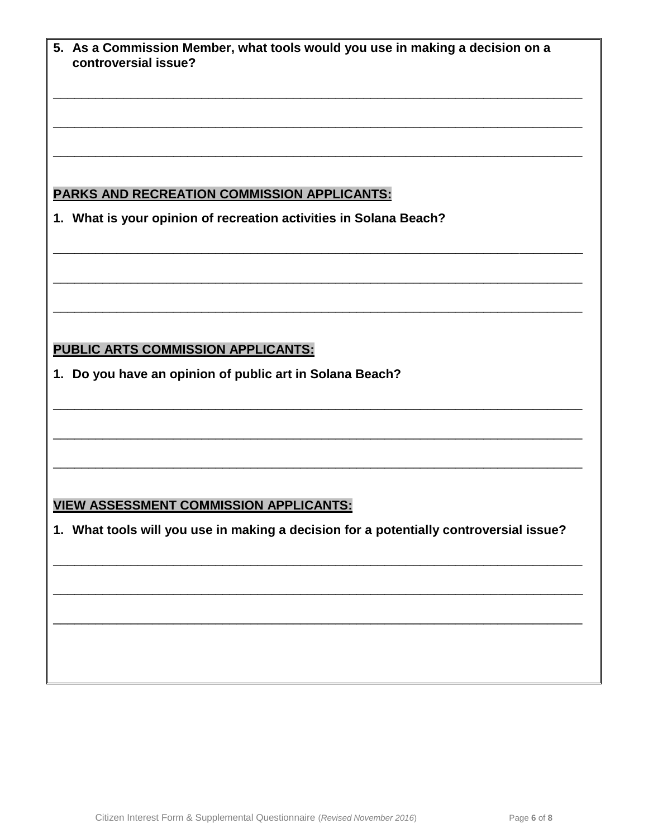| 5. As a Commission Member, what tools would you use in making a decision on a<br>controversial issue?                                   |
|-----------------------------------------------------------------------------------------------------------------------------------------|
|                                                                                                                                         |
|                                                                                                                                         |
|                                                                                                                                         |
| <b>PARKS AND RECREATION COMMISSION APPLICANTS:</b>                                                                                      |
| 1. What is your opinion of recreation activities in Solana Beach?                                                                       |
|                                                                                                                                         |
|                                                                                                                                         |
|                                                                                                                                         |
|                                                                                                                                         |
| <b>PUBLIC ARTS COMMISSION APPLICANTS:</b>                                                                                               |
| 1. Do you have an opinion of public art in Solana Beach?                                                                                |
|                                                                                                                                         |
|                                                                                                                                         |
|                                                                                                                                         |
|                                                                                                                                         |
| <b>VIEW ASSESSMENT COMMISSION APPLICANTS:</b><br>1. What tools will you use in making a decision for a potentially controversial issue? |
|                                                                                                                                         |
|                                                                                                                                         |
|                                                                                                                                         |
|                                                                                                                                         |
|                                                                                                                                         |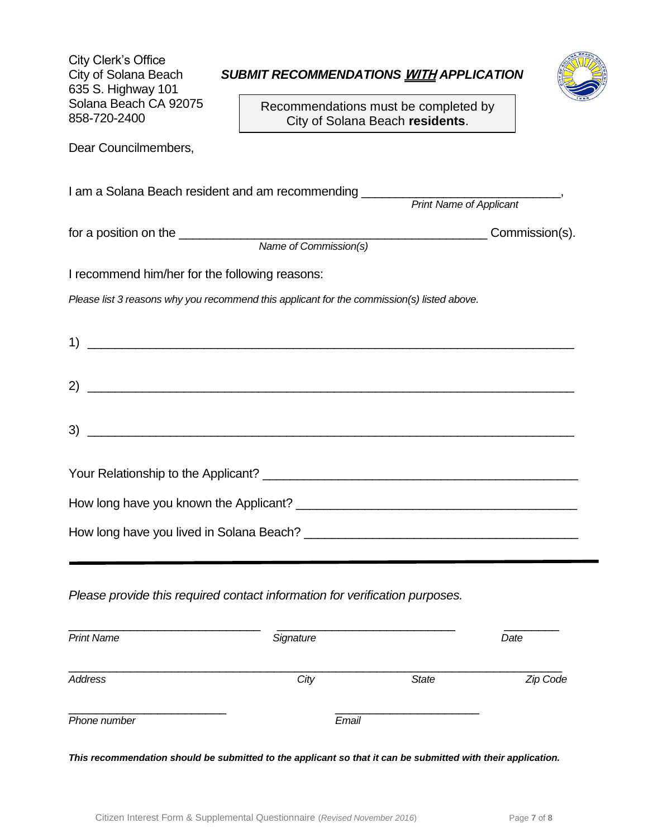| City Clerk's Office<br>City of Solana Beach<br>635 S. Highway 101<br>Solana Beach CA 92075<br>858-720-2400 | SUBMIT RECOMMENDATIONS WITH APPLICATION<br>Recommendations must be completed by<br>City of Solana Beach residents.   |  |
|------------------------------------------------------------------------------------------------------------|----------------------------------------------------------------------------------------------------------------------|--|
| Dear Councilmembers,                                                                                       |                                                                                                                      |  |
|                                                                                                            | I am a Solana Beach resident and am recommending ________<br><b>Print Name of Applicant</b>                          |  |
|                                                                                                            |                                                                                                                      |  |
| I recommend him/her for the following reasons:                                                             |                                                                                                                      |  |
|                                                                                                            | Please list 3 reasons why you recommend this applicant for the commission(s) listed above.                           |  |
|                                                                                                            |                                                                                                                      |  |
|                                                                                                            |                                                                                                                      |  |
| 3)                                                                                                         | <u> 1989 - Johann Stoff, deutscher Stoffen und der Stoffen und der Stoffen und der Stoffen und der Stoffen und d</u> |  |
|                                                                                                            |                                                                                                                      |  |
|                                                                                                            |                                                                                                                      |  |
|                                                                                                            |                                                                                                                      |  |
|                                                                                                            | Please provide this required contact information for verification purposes.                                          |  |

| <b>Print Name</b> | Signature |              | Date     |
|-------------------|-----------|--------------|----------|
| Address           | City      | <b>State</b> | Zip Code |
| Phone number      | Email     |              |          |

*This recommendation should be submitted to the applicant so that it can be submitted with their application.*